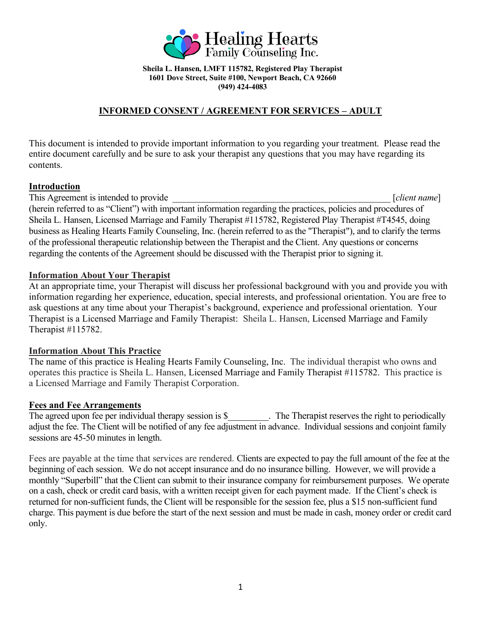

**Sheila L. Hansen, LMFT 115782, Registered Play Therapist 1601 Dove Street, Suite #100, Newport Beach, CA 92660 (949) 424-4083**

# **INFORMED CONSENT / AGREEMENT FOR SERVICES – ADULT**

This document is intended to provide important information to you regarding your treatment. Please read the entire document carefully and be sure to ask your therapist any questions that you may have regarding its contents.

### **Introduction**

This Agreement is intended to provide \_\_\_\_\_\_\_\_\_\_\_\_\_\_\_\_\_\_\_\_\_\_\_\_\_\_\_\_\_\_\_\_\_\_\_\_\_\_\_\_\_\_\_\_\_\_\_\_ [*client name*] (herein referred to as "Client") with important information regarding the practices, policies and procedures of Sheila L. Hansen, Licensed Marriage and Family Therapist #115782, Registered Play Therapist #T4545, doing business as Healing Hearts Family Counseling, Inc. (herein referred to as the "Therapist"), and to clarify the terms of the professional therapeutic relationship between the Therapist and the Client. Any questions or concerns regarding the contents of the Agreement should be discussed with the Therapist prior to signing it.

### **Information About Your Therapist**

At an appropriate time, your Therapist will discuss her professional background with you and provide you with information regarding her experience, education, special interests, and professional orientation. You are free to ask questions at any time about your Therapist's background, experience and professional orientation. Your Therapist is a Licensed Marriage and Family Therapist: Sheila L. Hansen, Licensed Marriage and Family Therapist #115782.

# **Information About This Practice**

The name of this practice is Healing Hearts Family Counseling, Inc. The individual therapist who owns and operates this practice is Sheila L. Hansen, Licensed Marriage and Family Therapist #115782. This practice is a Licensed Marriage and Family Therapist Corporation.

#### **Fees and Fee Arrangements**

The agreed upon fee per individual therapy session is \$\_\_\_\_\_\_\_\_\_. The Therapist reserves the right to periodically adjust the fee. The Client will be notified of any fee adjustment in advance. Individual sessions and conjoint family sessions are 45-50 minutes in length.

Fees are payable at the time that services are rendered. Clients are expected to pay the full amount of the fee at the beginning of each session. We do not accept insurance and do no insurance billing. However, we will provide a monthly "Superbill" that the Client can submit to their insurance company for reimbursement purposes. We operate on a cash, check or credit card basis, with a written receipt given for each payment made. If the Client's check is returned for non-sufficient funds, the Client will be responsible for the session fee, plus a \$15 non-sufficient fund charge. This payment is due before the start of the next session and must be made in cash, money order or credit card only.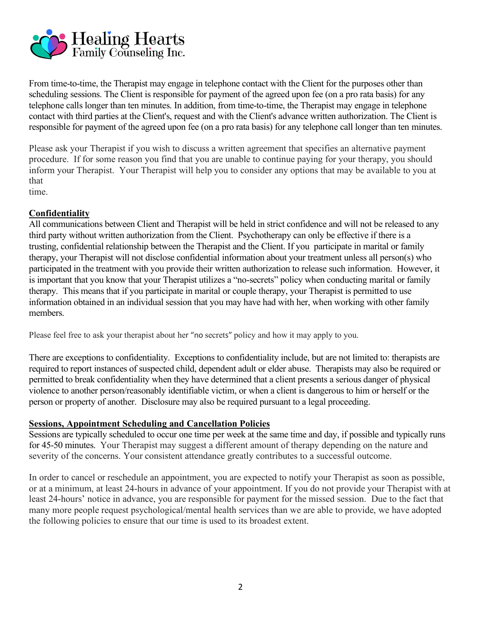

From time-to-time, the Therapist may engage in telephone contact with the Client for the purposes other than scheduling sessions. The Client is responsible for payment of the agreed upon fee (on a pro rata basis) for any telephone calls longer than ten minutes. In addition, from time-to-time, the Therapist may engage in telephone contact with third parties at the Client's, request and with the Client's advance written authorization. The Client is responsible for payment of the agreed upon fee (on a pro rata basis) for any telephone call longer than ten minutes.

Please ask your Therapist if you wish to discuss a written agreement that specifies an alternative payment procedure. If for some reason you find that you are unable to continue paying for your therapy, you should inform your Therapist. Your Therapist will help you to consider any options that may be available to you at that

time.

### **Confidentiality**

All communications between Client and Therapist will be held in strict confidence and will not be released to any third party without written authorization from the Client. Psychotherapy can only be effective if there is a trusting, confidential relationship between the Therapist and the Client. If you participate in marital or family therapy, your Therapist will not disclose confidential information about your treatment unless all person(s) who participated in the treatment with you provide their written authorization to release such information. However, it is important that you know that your Therapist utilizes a "no-secrets" policy when conducting marital or family therapy. This means that if you participate in marital or couple therapy, your Therapist is permitted to use information obtained in an individual session that you may have had with her, when working with other family members.

Please feel free to ask your therapist about her "no secrets" policy and how it may apply to you.

There are exceptions to confidentiality. Exceptions to confidentiality include, but are not limited to: therapists are required to report instances of suspected child, dependent adult or elder abuse. Therapists may also be required or permitted to break confidentiality when they have determined that a client presents a serious danger of physical violence to another person/reasonably identifiable victim, or when a client is dangerous to him or herself or the person or property of another. Disclosure may also be required pursuant to a legal proceeding.

#### **Sessions, Appointment Scheduling and Cancellation Policies**

Sessions are typically scheduled to occur one time per week at the same time and day, if possible and typically runs for 45-50 minutes. Your Therapist may suggest a different amount of therapy depending on the nature and severity of the concerns. Your consistent attendance greatly contributes to a successful outcome.

In order to cancel or reschedule an appointment, you are expected to notify your Therapist as soon as possible, or at a minimum, at least 24-hours in advance of your appointment. If you do not provide your Therapist with at least 24-hours' notice in advance, you are responsible for payment for the missed session. Due to the fact that many more people request psychological/mental health services than we are able to provide, we have adopted the following policies to ensure that our time is used to its broadest extent.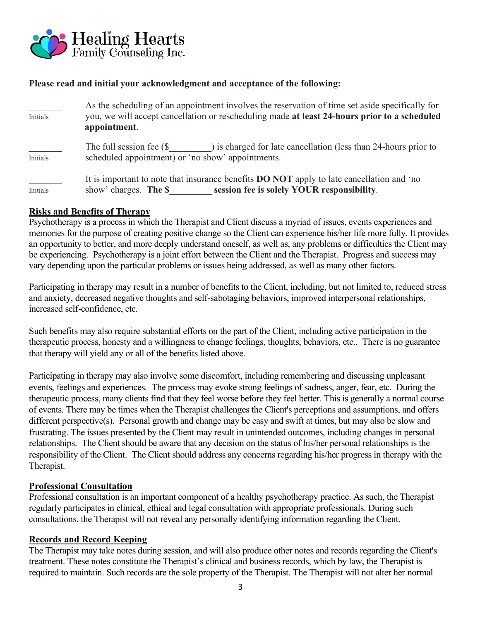

# **Please read and initial your acknowledgment and acceptance of the following:**

| Initials | As the scheduling of an appointment involves the reservation of time set aside specifically for<br>you, we will accept cancellation or rescheduling made at least 24-hours prior to a scheduled<br>appointment. |  |
|----------|-----------------------------------------------------------------------------------------------------------------------------------------------------------------------------------------------------------------|--|
| Initials | The full session fee $(\$$ are solution (less than 24-hours prior to<br>scheduled appointment) or 'no show' appointments.                                                                                       |  |
| Initials | It is important to note that insurance benefits <b>DO NOT</b> apply to late cancellation and 'no<br>session fee is solely YOUR responsibility.<br>show' charges. The \$                                         |  |

#### **Risks and Benefits of Therapy**

Psychotherapy is a process in which the Therapist and Client discuss a myriad of issues, events experiences and memories for the purpose of creating positive change so the Client can experience his/her life more fully. It provides an opportunity to better, and more deeply understand oneself, as well as, any problems or difficulties the Client may be experiencing. Psychotherapy is a joint effort between the Client and the Therapist. Progress and success may vary depending upon the particular problems or issues being addressed, as well as many other factors.

Participating in therapy may result in a number of benefits to the Client, including, but not limited to, reduced stress and anxiety, decreased negative thoughts and self-sabotaging behaviors, improved interpersonal relationships, increased self-confidence, etc.

Such benefits may also require substantial efforts on the part of the Client, including active participation in the therapeutic process, honesty and a willingness to change feelings, thoughts, behaviors, etc.. There is no guarantee that therapy will yield any or all of the benefits listed above.

Participating in therapy may also involve some discomfort, including remembering and discussing unpleasant events, feelings and experiences. The process may evoke strong feelings of sadness, anger, fear, etc. During the therapeutic process, many clients find that they feel worse before they feel better. This is generally a normal course of events. There may be times when the Therapist challenges the Client's perceptions and assumptions, and offers different perspective(s). Personal growth and change may be easy and swift at times, but may also be slow and frustrating. The issues presented by the Client may result in unintended outcomes, including changes in personal relationships. The Client should be aware that any decision on the status of his/her personal relationships is the responsibility of the Client. The Client should address any concerns regarding his/her progress in therapy with the Therapist.

#### **Professional Consultation**

Professional consultation is an important component of a healthy psychotherapy practice. As such, the Therapist regularly participates in clinical, ethical and legal consultation with appropriate professionals. During such consultations, the Therapist will not reveal any personally identifying information regarding the Client.

#### **Records and Record Keeping**

The Therapist may take notes during session, and will also produce other notes and records regarding the Client's treatment. These notes constitute the Therapist's clinical and business records, which by law, the Therapist is required to maintain. Such records are the sole property of the Therapist. The Therapist will not alter her normal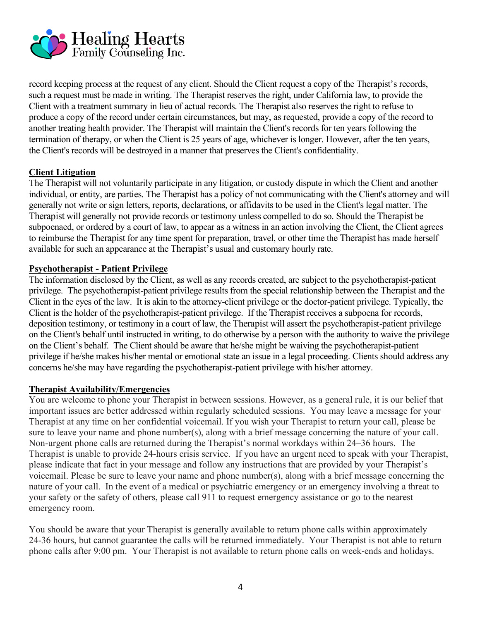

record keeping process at the request of any client. Should the Client request a copy of the Therapist's records, such a request must be made in writing. The Therapist reserves the right, under California law, to provide the Client with a treatment summary in lieu of actual records. The Therapist also reserves the right to refuse to produce a copy of the record under certain circumstances, but may, as requested, provide a copy of the record to another treating health provider. The Therapist will maintain the Client's records for ten years following the termination of therapy, or when the Client is 25 years of age, whichever is longer. However, after the ten years, the Client's records will be destroyed in a manner that preserves the Client's confidentiality.

### **Client Litigation**

The Therapist will not voluntarily participate in any litigation, or custody dispute in which the Client and another individual, or entity, are parties. The Therapist has a policy of not communicating with the Client's attorney and will generally not write or sign letters, reports, declarations, or affidavits to be used in the Client's legal matter. The Therapist will generally not provide records or testimony unless compelled to do so. Should the Therapist be subpoenaed, or ordered by a court of law, to appear as a witness in an action involving the Client, the Client agrees to reimburse the Therapist for any time spent for preparation, travel, or other time the Therapist has made herself available for such an appearance at the Therapist's usual and customary hourly rate.

### **Psychotherapist - Patient Privilege**

The information disclosed by the Client, as well as any records created, are subject to the psychotherapist-patient privilege. The psychotherapist-patient privilege results from the special relationship between the Therapist and the Client in the eyes of the law. It is akin to the attorney-client privilege or the doctor-patient privilege. Typically, the Client is the holder of the psychotherapist-patient privilege. If the Therapist receives a subpoena for records, deposition testimony, or testimony in a court of law, the Therapist will assert the psychotherapist-patient privilege on the Client's behalf until instructed in writing, to do otherwise by a person with the authority to waive the privilege on the Client's behalf. The Client should be aware that he/she might be waiving the psychotherapist-patient privilege if he/she makes his/her mental or emotional state an issue in a legal proceeding. Clients should address any concerns he/she may have regarding the psychotherapist-patient privilege with his/her attorney.

#### **Therapist Availability/Emergencies**

You are welcome to phone your Therapist in between sessions. However, as a general rule, it is our belief that important issues are better addressed within regularly scheduled sessions. You may leave a message for your Therapist at any time on her confidential voicemail. If you wish your Therapist to return your call, please be sure to leave your name and phone number(s), along with a brief message concerning the nature of your call. Non-urgent phone calls are returned during the Therapist's normal workdays within 24–36 hours. The Therapist is unable to provide 24-hours crisis service. If you have an urgent need to speak with your Therapist, please indicate that fact in your message and follow any instructions that are provided by your Therapist's voicemail. Please be sure to leave your name and phone number(s), along with a brief message concerning the nature of your call. In the event of a medical or psychiatric emergency or an emergency involving a threat to your safety or the safety of others, please call 911 to request emergency assistance or go to the nearest emergency room.

You should be aware that your Therapist is generally available to return phone calls within approximately 24-36 hours, but cannot guarantee the calls will be returned immediately. Your Therapist is not able to return phone calls after 9:00 pm. Your Therapist is not available to return phone calls on week-ends and holidays.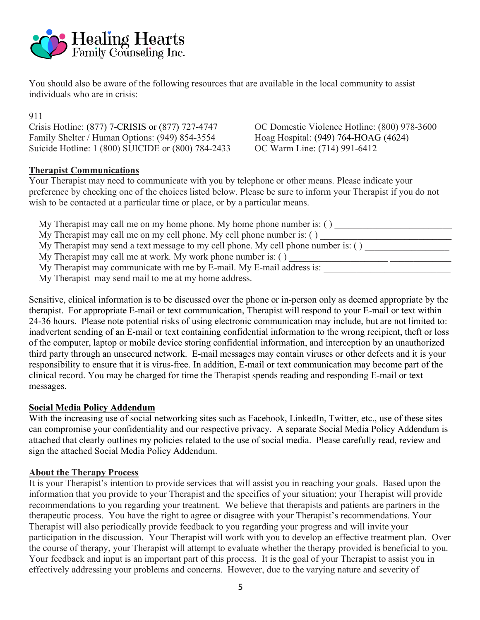

You should also be aware of the following resources that are available in the local community to assist individuals who are in crisis:

911

Crisis Hotline: (877) 7-CRISIS or (877) 727-4747 OC Domestic Violence Hotline: (800) 978-3600 Family Shelter / Human Options: (949) 854-3554 Hoag Hospital: (949) 764-HOAG (4624) Suicide Hotline: 1 (800) SUICIDE or (800) 784-2433 OC Warm Line: (714) 991-6412

# **Therapist Communications**

Your Therapist may need to communicate with you by telephone or other means. Please indicate your preference by checking one of the choices listed below. Please be sure to inform your Therapist if you do not wish to be contacted at a particular time or place, or by a particular means.

| My Therapist may call me on my home phone. My home phone number is: $( )$          |  |  |
|------------------------------------------------------------------------------------|--|--|
| My Therapist may call me on my cell phone. My cell phone number is: ()             |  |  |
| My Therapist may send a text message to my cell phone. My cell phone number is: () |  |  |
| My Therapist may call me at work. My work phone number is: ()                      |  |  |
| My Therapist may communicate with me by E-mail. My E-mail address is:              |  |  |
| My Therapist may send mail to me at my home address.                               |  |  |

Sensitive, clinical information is to be discussed over the phone or in-person only as deemed appropriate by the therapist. For appropriate E-mail or text communication, Therapist will respond to your E-mail or text within 24-36 hours. Please note potential risks of using electronic communication may include, but are not limited to: inadvertent sending of an E-mail or text containing confidential information to the wrong recipient, theft or loss of the computer, laptop or mobile device storing confidential information, and interception by an unauthorized third party through an unsecured network. E-mail messages may contain viruses or other defects and it is your responsibility to ensure that it is virus-free. In addition, E-mail or text communication may become part of the clinical record. You may be charged for time the Therapist spends reading and responding E-mail or text messages.

# **Social Media Policy Addendum**

With the increasing use of social networking sites such as Facebook, LinkedIn, Twitter, etc., use of these sites can compromise your confidentiality and our respective privacy. A separate Social Media Policy Addendum is attached that clearly outlines my policies related to the use of social media. Please carefully read, review and sign the attached Social Media Policy Addendum.

#### **About the Therapy Process**

It is your Therapist's intention to provide services that will assist you in reaching your goals. Based upon the information that you provide to your Therapist and the specifics of your situation; your Therapist will provide recommendations to you regarding your treatment. We believe that therapists and patients are partners in the therapeutic process. You have the right to agree or disagree with your Therapist's recommendations. Your Therapist will also periodically provide feedback to you regarding your progress and will invite your participation in the discussion. Your Therapist will work with you to develop an effective treatment plan. Over the course of therapy, your Therapist will attempt to evaluate whether the therapy provided is beneficial to you. Your feedback and input is an important part of this process. It is the goal of your Therapist to assist you in effectively addressing your problems and concerns. However, due to the varying nature and severity of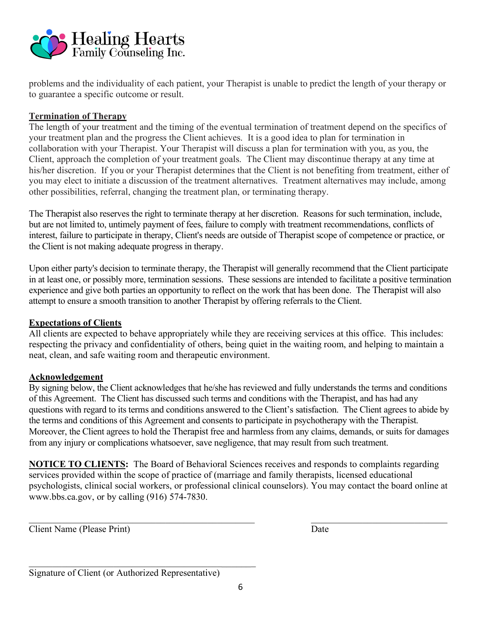

problems and the individuality of each patient, your Therapist is unable to predict the length of your therapy or to guarantee a specific outcome or result.

# **Termination of Therapy**

The length of your treatment and the timing of the eventual termination of treatment depend on the specifics of your treatment plan and the progress the Client achieves. It is a good idea to plan for termination in collaboration with your Therapist. Your Therapist will discuss a plan for termination with you, as you, the Client, approach the completion of your treatment goals. The Client may discontinue therapy at any time at his/her discretion. If you or your Therapist determines that the Client is not benefiting from treatment, either of you may elect to initiate a discussion of the treatment alternatives. Treatment alternatives may include, among other possibilities, referral, changing the treatment plan, or terminating therapy.

The Therapist also reserves the right to terminate therapy at her discretion. Reasons for such termination, include, but are not limited to, untimely payment of fees, failure to comply with treatment recommendations, conflicts of interest, failure to participate in therapy, Client's needs are outside of Therapist scope of competence or practice, or the Client is not making adequate progress in therapy.

Upon either party's decision to terminate therapy, the Therapist will generally recommend that the Client participate in at least one, or possibly more, termination sessions. These sessions are intended to facilitate a positive termination experience and give both parties an opportunity to reflect on the work that has been done. The Therapist will also attempt to ensure a smooth transition to another Therapist by offering referrals to the Client.

# **Expectations of Clients**

All clients are expected to behave appropriately while they are receiving services at this office. This includes: respecting the privacy and confidentiality of others, being quiet in the waiting room, and helping to maintain a neat, clean, and safe waiting room and therapeutic environment.

# **Acknowledgement**

By signing below, the Client acknowledges that he/she has reviewed and fully understands the terms and conditions of this Agreement. The Client has discussed such terms and conditions with the Therapist, and has had any questions with regard to its terms and conditions answered to the Client's satisfaction. The Client agrees to abide by the terms and conditions of this Agreement and consents to participate in psychotherapy with the Therapist. Moreover, the Client agrees to hold the Therapist free and harmless from any claims, demands, or suits for damages from any injury or complications whatsoever, save negligence, that may result from such treatment.

**NOTICE TO CLIENTS:** The Board of Behavioral Sciences receives and responds to complaints regarding services provided within the scope of practice of (marriage and family therapists, licensed educational psychologists, clinical social workers, or professional clinical counselors). You may contact the board online at www.bbs.ca.gov, or by calling (916) 574-7830.

 $\mathcal{L}_\mathcal{L} = \{ \mathcal{L}_\mathcal{L} = \{ \mathcal{L}_\mathcal{L} = \{ \mathcal{L}_\mathcal{L} = \{ \mathcal{L}_\mathcal{L} = \{ \mathcal{L}_\mathcal{L} = \{ \mathcal{L}_\mathcal{L} = \{ \mathcal{L}_\mathcal{L} = \{ \mathcal{L}_\mathcal{L} = \{ \mathcal{L}_\mathcal{L} = \{ \mathcal{L}_\mathcal{L} = \{ \mathcal{L}_\mathcal{L} = \{ \mathcal{L}_\mathcal{L} = \{ \mathcal{L}_\mathcal{L} = \{ \mathcal{L}_\mathcal{$ 

Client Name (Please Print) Date

 $\mathcal{L}_\text{max}$  , and the contract of the contract of the contract of the contract of the contract of the contract of the contract of the contract of the contract of the contract of the contract of the contract of the contr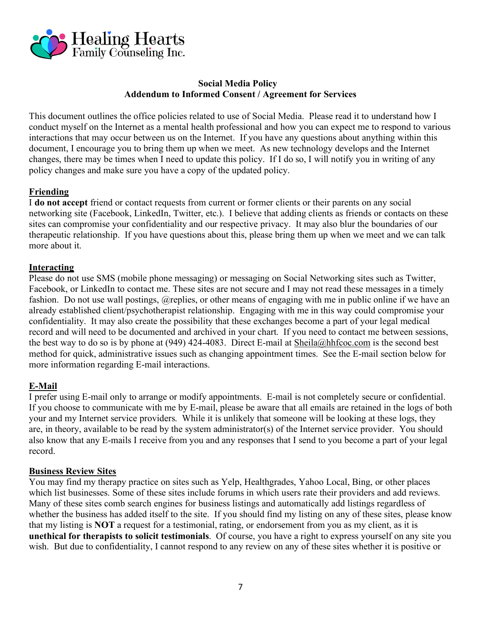

### **Social Media Policy Addendum to Informed Consent / Agreement for Services**

This document outlines the office policies related to use of Social Media. Please read it to understand how I conduct myself on the Internet as a mental health professional and how you can expect me to respond to various interactions that may occur between us on the Internet. If you have any questions about anything within this document, I encourage you to bring them up when we meet. As new technology develops and the Internet changes, there may be times when I need to update this policy. If I do so, I will notify you in writing of any policy changes and make sure you have a copy of the updated policy.

# **Friending**

I **do not accept** friend or contact requests from current or former clients or their parents on any social networking site (Facebook, LinkedIn, Twitter, etc.). I believe that adding clients as friends or contacts on these sites can compromise your confidentiality and our respective privacy. It may also blur the boundaries of our therapeutic relationship. If you have questions about this, please bring them up when we meet and we can talk more about it.

# **Interacting**

Please do not use SMS (mobile phone messaging) or messaging on Social Networking sites such as Twitter, Facebook, or LinkedIn to contact me. These sites are not secure and I may not read these messages in a timely fashion. Do not use wall postings, @replies, or other means of engaging with me in public online if we have an already established client/psychotherapist relationship. Engaging with me in this way could compromise your confidentiality. It may also create the possibility that these exchanges become a part of your legal medical record and will need to be documented and archived in your chart. If you need to contact me between sessions, the best way to do so is by phone at (949) 424-4083. Direct E-mail at Sheila@hhfcoc.com is the second best method for quick, administrative issues such as changing appointment times. See the E-mail section below for more information regarding E-mail interactions.

# **E-Mail**

I prefer using E-mail only to arrange or modify appointments. E-mail is not completely secure or confidential. If you choose to communicate with me by E-mail, please be aware that all emails are retained in the logs of both your and my Internet service providers. While it is unlikely that someone will be looking at these logs, they are, in theory, available to be read by the system administrator(s) of the Internet service provider. You should also know that any E-mails I receive from you and any responses that I send to you become a part of your legal record.

# **Business Review Sites**

You may find my therapy practice on sites such as Yelp, Healthgrades, Yahoo Local, Bing, or other places which list businesses. Some of these sites include forums in which users rate their providers and add reviews. Many of these sites comb search engines for business listings and automatically add listings regardless of whether the business has added itself to the site. If you should find my listing on any of these sites, please know that my listing is **NOT** a request for a testimonial, rating, or endorsement from you as my client, as it is **unethical for therapists to solicit testimonials**. Of course, you have a right to express yourself on any site you wish. But due to confidentiality, I cannot respond to any review on any of these sites whether it is positive or